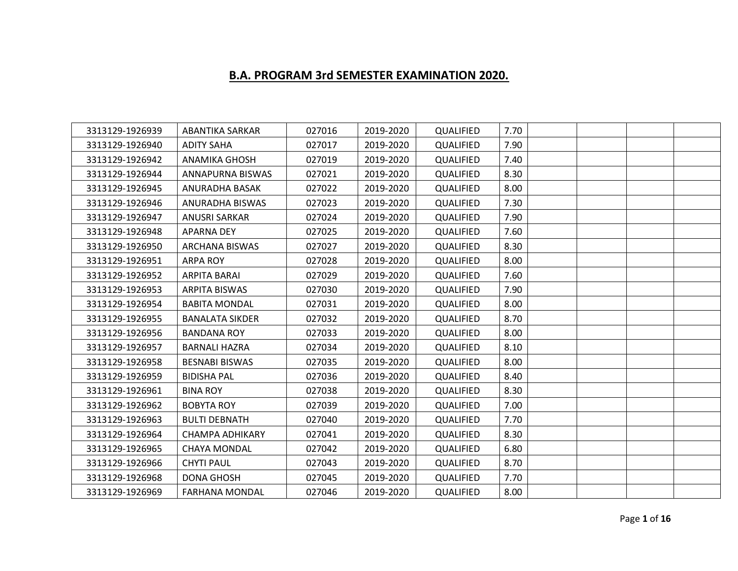## **B.A. PROGRAM 3rd SEMESTER EXAMINATION 2020.**

| 3313129-1926939 | <b>ABANTIKA SARKAR</b> | 027016 | 2019-2020 | QUALIFIED | 7.70 |  |  |
|-----------------|------------------------|--------|-----------|-----------|------|--|--|
| 3313129-1926940 | <b>ADITY SAHA</b>      | 027017 | 2019-2020 | QUALIFIED | 7.90 |  |  |
| 3313129-1926942 | <b>ANAMIKA GHOSH</b>   | 027019 | 2019-2020 | QUALIFIED | 7.40 |  |  |
| 3313129-1926944 | ANNAPURNA BISWAS       | 027021 | 2019-2020 | QUALIFIED | 8.30 |  |  |
| 3313129-1926945 | ANURADHA BASAK         | 027022 | 2019-2020 | QUALIFIED | 8.00 |  |  |
| 3313129-1926946 | ANURADHA BISWAS        | 027023 | 2019-2020 | QUALIFIED | 7.30 |  |  |
| 3313129-1926947 | <b>ANUSRI SARKAR</b>   | 027024 | 2019-2020 | QUALIFIED | 7.90 |  |  |
| 3313129-1926948 | <b>APARNA DEY</b>      | 027025 | 2019-2020 | QUALIFIED | 7.60 |  |  |
| 3313129-1926950 | <b>ARCHANA BISWAS</b>  | 027027 | 2019-2020 | QUALIFIED | 8.30 |  |  |
| 3313129-1926951 | <b>ARPA ROY</b>        | 027028 | 2019-2020 | QUALIFIED | 8.00 |  |  |
| 3313129-1926952 | ARPITA BARAI           | 027029 | 2019-2020 | QUALIFIED | 7.60 |  |  |
| 3313129-1926953 | ARPITA BISWAS          | 027030 | 2019-2020 | QUALIFIED | 7.90 |  |  |
| 3313129-1926954 | <b>BABITA MONDAL</b>   | 027031 | 2019-2020 | QUALIFIED | 8.00 |  |  |
| 3313129-1926955 | <b>BANALATA SIKDER</b> | 027032 | 2019-2020 | QUALIFIED | 8.70 |  |  |
| 3313129-1926956 | <b>BANDANA ROY</b>     | 027033 | 2019-2020 | QUALIFIED | 8.00 |  |  |
| 3313129-1926957 | <b>BARNALI HAZRA</b>   | 027034 | 2019-2020 | QUALIFIED | 8.10 |  |  |
| 3313129-1926958 | <b>BESNABI BISWAS</b>  | 027035 | 2019-2020 | QUALIFIED | 8.00 |  |  |
| 3313129-1926959 | <b>BIDISHA PAL</b>     | 027036 | 2019-2020 | QUALIFIED | 8.40 |  |  |
| 3313129-1926961 | <b>BINA ROY</b>        | 027038 | 2019-2020 | QUALIFIED | 8.30 |  |  |
| 3313129-1926962 | <b>BOBYTA ROY</b>      | 027039 | 2019-2020 | QUALIFIED | 7.00 |  |  |
| 3313129-1926963 | <b>BULTI DEBNATH</b>   | 027040 | 2019-2020 | QUALIFIED | 7.70 |  |  |
| 3313129-1926964 | <b>CHAMPA ADHIKARY</b> | 027041 | 2019-2020 | QUALIFIED | 8.30 |  |  |
| 3313129-1926965 | <b>CHAYA MONDAL</b>    | 027042 | 2019-2020 | QUALIFIED | 6.80 |  |  |
| 3313129-1926966 | <b>CHYTI PAUL</b>      | 027043 | 2019-2020 | QUALIFIED | 8.70 |  |  |
| 3313129-1926968 | <b>DONA GHOSH</b>      | 027045 | 2019-2020 | QUALIFIED | 7.70 |  |  |
| 3313129-1926969 | <b>FARHANA MONDAL</b>  | 027046 | 2019-2020 | QUALIFIED | 8.00 |  |  |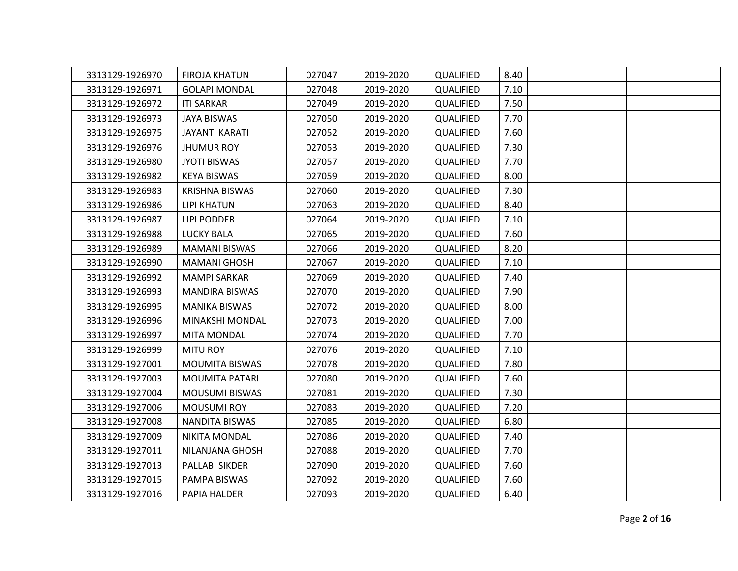| 3313129-1926970 | <b>FIROJA KHATUN</b>  | 027047 | 2019-2020 | QUALIFIED | 8.40 |  |  |
|-----------------|-----------------------|--------|-----------|-----------|------|--|--|
| 3313129-1926971 | <b>GOLAPI MONDAL</b>  | 027048 | 2019-2020 | QUALIFIED | 7.10 |  |  |
| 3313129-1926972 | <b>ITI SARKAR</b>     | 027049 | 2019-2020 | QUALIFIED | 7.50 |  |  |
| 3313129-1926973 | <b>JAYA BISWAS</b>    | 027050 | 2019-2020 | QUALIFIED | 7.70 |  |  |
| 3313129-1926975 | JAYANTI KARATI        | 027052 | 2019-2020 | QUALIFIED | 7.60 |  |  |
| 3313129-1926976 | <b>JHUMUR ROY</b>     | 027053 | 2019-2020 | QUALIFIED | 7.30 |  |  |
| 3313129-1926980 | <b>JYOTI BISWAS</b>   | 027057 | 2019-2020 | QUALIFIED | 7.70 |  |  |
| 3313129-1926982 | <b>KEYA BISWAS</b>    | 027059 | 2019-2020 | QUALIFIED | 8.00 |  |  |
| 3313129-1926983 | <b>KRISHNA BISWAS</b> | 027060 | 2019-2020 | QUALIFIED | 7.30 |  |  |
| 3313129-1926986 | <b>LIPI KHATUN</b>    | 027063 | 2019-2020 | QUALIFIED | 8.40 |  |  |
| 3313129-1926987 | <b>LIPI PODDER</b>    | 027064 | 2019-2020 | QUALIFIED | 7.10 |  |  |
| 3313129-1926988 | <b>LUCKY BALA</b>     | 027065 | 2019-2020 | QUALIFIED | 7.60 |  |  |
| 3313129-1926989 | <b>MAMANI BISWAS</b>  | 027066 | 2019-2020 | QUALIFIED | 8.20 |  |  |
| 3313129-1926990 | <b>MAMANI GHOSH</b>   | 027067 | 2019-2020 | QUALIFIED | 7.10 |  |  |
| 3313129-1926992 | <b>MAMPI SARKAR</b>   | 027069 | 2019-2020 | QUALIFIED | 7.40 |  |  |
| 3313129-1926993 | <b>MANDIRA BISWAS</b> | 027070 | 2019-2020 | QUALIFIED | 7.90 |  |  |
| 3313129-1926995 | <b>MANIKA BISWAS</b>  | 027072 | 2019-2020 | QUALIFIED | 8.00 |  |  |
| 3313129-1926996 | MINAKSHI MONDAL       | 027073 | 2019-2020 | QUALIFIED | 7.00 |  |  |
| 3313129-1926997 | <b>MITA MONDAL</b>    | 027074 | 2019-2020 | QUALIFIED | 7.70 |  |  |
| 3313129-1926999 | <b>MITU ROY</b>       | 027076 | 2019-2020 | QUALIFIED | 7.10 |  |  |
| 3313129-1927001 | <b>MOUMITA BISWAS</b> | 027078 | 2019-2020 | QUALIFIED | 7.80 |  |  |
| 3313129-1927003 | MOUMITA PATARI        | 027080 | 2019-2020 | QUALIFIED | 7.60 |  |  |
| 3313129-1927004 | <b>MOUSUMI BISWAS</b> | 027081 | 2019-2020 | QUALIFIED | 7.30 |  |  |
| 3313129-1927006 | <b>MOUSUMI ROY</b>    | 027083 | 2019-2020 | QUALIFIED | 7.20 |  |  |
| 3313129-1927008 | NANDITA BISWAS        | 027085 | 2019-2020 | QUALIFIED | 6.80 |  |  |
| 3313129-1927009 | <b>NIKITA MONDAL</b>  | 027086 | 2019-2020 | QUALIFIED | 7.40 |  |  |
| 3313129-1927011 | NILANJANA GHOSH       | 027088 | 2019-2020 | QUALIFIED | 7.70 |  |  |
| 3313129-1927013 | PALLABI SIKDER        | 027090 | 2019-2020 | QUALIFIED | 7.60 |  |  |
| 3313129-1927015 | PAMPA BISWAS          | 027092 | 2019-2020 | QUALIFIED | 7.60 |  |  |
| 3313129-1927016 | PAPIA HALDER          | 027093 | 2019-2020 | QUALIFIED | 6.40 |  |  |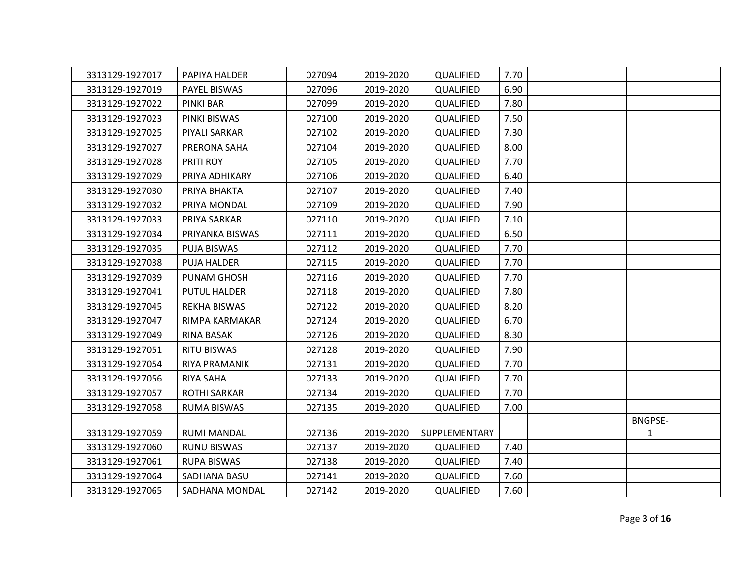| 3313129-1927017 | PAPIYA HALDER       | 027094 | 2019-2020 | QUALIFIED     | 7.70 |  |                |  |
|-----------------|---------------------|--------|-----------|---------------|------|--|----------------|--|
| 3313129-1927019 | PAYEL BISWAS        | 027096 | 2019-2020 | QUALIFIED     | 6.90 |  |                |  |
| 3313129-1927022 | <b>PINKI BAR</b>    | 027099 | 2019-2020 | QUALIFIED     | 7.80 |  |                |  |
| 3313129-1927023 | PINKI BISWAS        | 027100 | 2019-2020 | QUALIFIED     | 7.50 |  |                |  |
| 3313129-1927025 | PIYALI SARKAR       | 027102 | 2019-2020 | QUALIFIED     | 7.30 |  |                |  |
| 3313129-1927027 | PRERONA SAHA        | 027104 | 2019-2020 | QUALIFIED     | 8.00 |  |                |  |
| 3313129-1927028 | PRITI ROY           | 027105 | 2019-2020 | QUALIFIED     | 7.70 |  |                |  |
| 3313129-1927029 | PRIYA ADHIKARY      | 027106 | 2019-2020 | QUALIFIED     | 6.40 |  |                |  |
| 3313129-1927030 | PRIYA BHAKTA        | 027107 | 2019-2020 | QUALIFIED     | 7.40 |  |                |  |
| 3313129-1927032 | PRIYA MONDAL        | 027109 | 2019-2020 | QUALIFIED     | 7.90 |  |                |  |
| 3313129-1927033 | PRIYA SARKAR        | 027110 | 2019-2020 | QUALIFIED     | 7.10 |  |                |  |
| 3313129-1927034 | PRIYANKA BISWAS     | 027111 | 2019-2020 | QUALIFIED     | 6.50 |  |                |  |
| 3313129-1927035 | <b>PUJA BISWAS</b>  | 027112 | 2019-2020 | QUALIFIED     | 7.70 |  |                |  |
| 3313129-1927038 | PUJA HALDER         | 027115 | 2019-2020 | QUALIFIED     | 7.70 |  |                |  |
| 3313129-1927039 | PUNAM GHOSH         | 027116 | 2019-2020 | QUALIFIED     | 7.70 |  |                |  |
| 3313129-1927041 | <b>PUTUL HALDER</b> | 027118 | 2019-2020 | QUALIFIED     | 7.80 |  |                |  |
| 3313129-1927045 | <b>REKHA BISWAS</b> | 027122 | 2019-2020 | QUALIFIED     | 8.20 |  |                |  |
| 3313129-1927047 | RIMPA KARMAKAR      | 027124 | 2019-2020 | QUALIFIED     | 6.70 |  |                |  |
| 3313129-1927049 | <b>RINA BASAK</b>   | 027126 | 2019-2020 | QUALIFIED     | 8.30 |  |                |  |
| 3313129-1927051 | <b>RITU BISWAS</b>  | 027128 | 2019-2020 | QUALIFIED     | 7.90 |  |                |  |
| 3313129-1927054 | RIYA PRAMANIK       | 027131 | 2019-2020 | QUALIFIED     | 7.70 |  |                |  |
| 3313129-1927056 | <b>RIYA SAHA</b>    | 027133 | 2019-2020 | QUALIFIED     | 7.70 |  |                |  |
| 3313129-1927057 | <b>ROTHI SARKAR</b> | 027134 | 2019-2020 | QUALIFIED     | 7.70 |  |                |  |
| 3313129-1927058 | <b>RUMA BISWAS</b>  | 027135 | 2019-2020 | QUALIFIED     | 7.00 |  |                |  |
|                 |                     |        |           |               |      |  | <b>BNGPSE-</b> |  |
| 3313129-1927059 | <b>RUMI MANDAL</b>  | 027136 | 2019-2020 | SUPPLEMENTARY |      |  | 1              |  |
| 3313129-1927060 | <b>RUNU BISWAS</b>  | 027137 | 2019-2020 | QUALIFIED     | 7.40 |  |                |  |
| 3313129-1927061 | <b>RUPA BISWAS</b>  | 027138 | 2019-2020 | QUALIFIED     | 7.40 |  |                |  |
| 3313129-1927064 | SADHANA BASU        | 027141 | 2019-2020 | QUALIFIED     | 7.60 |  |                |  |
| 3313129-1927065 | SADHANA MONDAL      | 027142 | 2019-2020 | QUALIFIED     | 7.60 |  |                |  |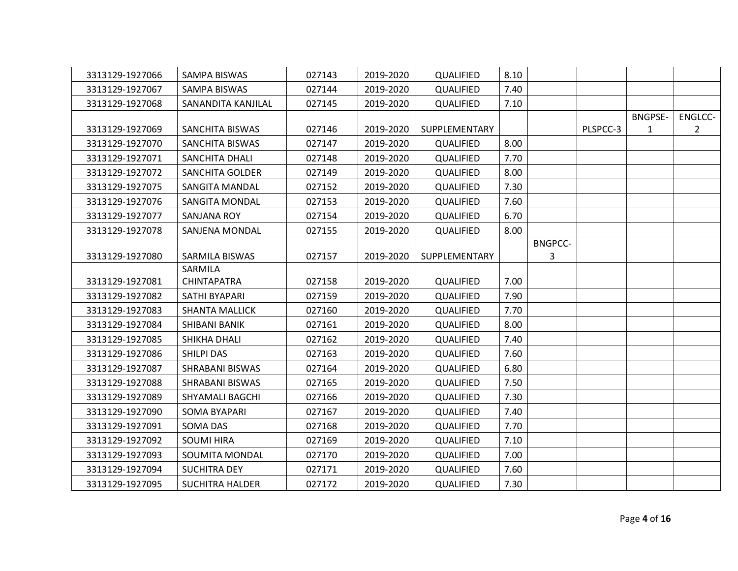| 3313129-1927066 | <b>SAMPA BISWAS</b>    | 027143 | 2019-2020 | QUALIFIED     | 8.10 |                |          |                     |                           |
|-----------------|------------------------|--------|-----------|---------------|------|----------------|----------|---------------------|---------------------------|
| 3313129-1927067 | SAMPA BISWAS           | 027144 | 2019-2020 | QUALIFIED     | 7.40 |                |          |                     |                           |
| 3313129-1927068 | SANANDITA KANJILAL     | 027145 | 2019-2020 | QUALIFIED     | 7.10 |                |          |                     |                           |
| 3313129-1927069 | SANCHITA BISWAS        | 027146 | 2019-2020 | SUPPLEMENTARY |      |                | PLSPCC-3 | <b>BNGPSE-</b><br>1 | ENGLCC-<br>$\overline{2}$ |
| 3313129-1927070 | <b>SANCHITA BISWAS</b> | 027147 | 2019-2020 | QUALIFIED     | 8.00 |                |          |                     |                           |
| 3313129-1927071 | SANCHITA DHALI         | 027148 | 2019-2020 | QUALIFIED     | 7.70 |                |          |                     |                           |
| 3313129-1927072 | <b>SANCHITA GOLDER</b> | 027149 | 2019-2020 | QUALIFIED     | 8.00 |                |          |                     |                           |
| 3313129-1927075 | SANGITA MANDAL         | 027152 | 2019-2020 | QUALIFIED     | 7.30 |                |          |                     |                           |
| 3313129-1927076 | <b>SANGITA MONDAL</b>  | 027153 | 2019-2020 | QUALIFIED     | 7.60 |                |          |                     |                           |
| 3313129-1927077 | <b>SANJANA ROY</b>     | 027154 | 2019-2020 | QUALIFIED     | 6.70 |                |          |                     |                           |
| 3313129-1927078 | SANJENA MONDAL         | 027155 | 2019-2020 | QUALIFIED     | 8.00 |                |          |                     |                           |
|                 |                        |        |           |               |      | <b>BNGPCC-</b> |          |                     |                           |
| 3313129-1927080 | SARMILA BISWAS         | 027157 | 2019-2020 | SUPPLEMENTARY |      | 3              |          |                     |                           |
|                 | SARMILA                |        |           |               |      |                |          |                     |                           |
| 3313129-1927081 | <b>CHINTAPATRA</b>     | 027158 | 2019-2020 | QUALIFIED     | 7.00 |                |          |                     |                           |
| 3313129-1927082 | SATHI BYAPARI          | 027159 | 2019-2020 | QUALIFIED     | 7.90 |                |          |                     |                           |
| 3313129-1927083 | <b>SHANTA MALLICK</b>  | 027160 | 2019-2020 | QUALIFIED     | 7.70 |                |          |                     |                           |
| 3313129-1927084 | SHIBANI BANIK          | 027161 | 2019-2020 | QUALIFIED     | 8.00 |                |          |                     |                           |
| 3313129-1927085 | <b>SHIKHA DHALI</b>    | 027162 | 2019-2020 | QUALIFIED     | 7.40 |                |          |                     |                           |
| 3313129-1927086 | <b>SHILPI DAS</b>      | 027163 | 2019-2020 | QUALIFIED     | 7.60 |                |          |                     |                           |
| 3313129-1927087 | SHRABANI BISWAS        | 027164 | 2019-2020 | QUALIFIED     | 6.80 |                |          |                     |                           |
| 3313129-1927088 | SHRABANI BISWAS        | 027165 | 2019-2020 | QUALIFIED     | 7.50 |                |          |                     |                           |
| 3313129-1927089 | SHYAMALI BAGCHI        | 027166 | 2019-2020 | QUALIFIED     | 7.30 |                |          |                     |                           |
| 3313129-1927090 | <b>SOMA BYAPARI</b>    | 027167 | 2019-2020 | QUALIFIED     | 7.40 |                |          |                     |                           |
| 3313129-1927091 | SOMA DAS               | 027168 | 2019-2020 | QUALIFIED     | 7.70 |                |          |                     |                           |
| 3313129-1927092 | <b>SOUMI HIRA</b>      | 027169 | 2019-2020 | QUALIFIED     | 7.10 |                |          |                     |                           |
| 3313129-1927093 | SOUMITA MONDAL         | 027170 | 2019-2020 | QUALIFIED     | 7.00 |                |          |                     |                           |
| 3313129-1927094 | <b>SUCHITRA DEY</b>    | 027171 | 2019-2020 | QUALIFIED     | 7.60 |                |          |                     |                           |
| 3313129-1927095 | <b>SUCHITRA HALDER</b> | 027172 | 2019-2020 | QUALIFIED     | 7.30 |                |          |                     |                           |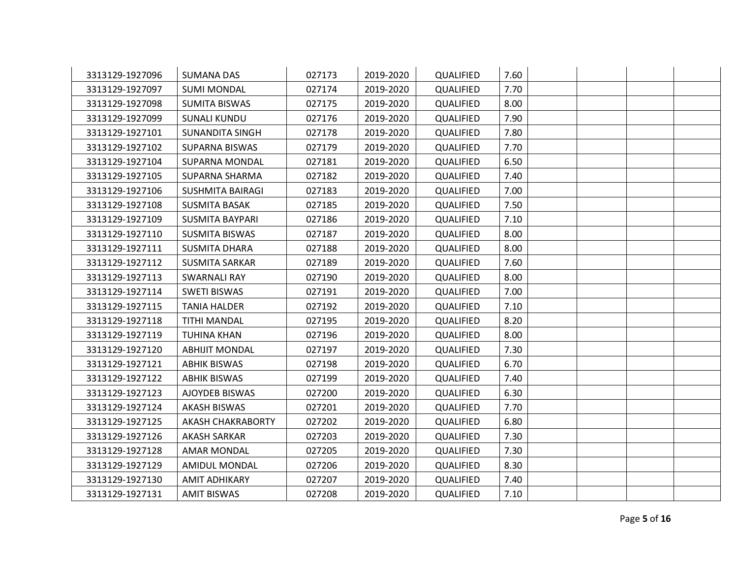| 3313129-1927096 | <b>SUMANA DAS</b>       | 027173 | 2019-2020 | QUALIFIED | 7.60 |  |  |
|-----------------|-------------------------|--------|-----------|-----------|------|--|--|
| 3313129-1927097 | <b>SUMI MONDAL</b>      | 027174 | 2019-2020 | QUALIFIED | 7.70 |  |  |
| 3313129-1927098 | <b>SUMITA BISWAS</b>    | 027175 | 2019-2020 | QUALIFIED | 8.00 |  |  |
| 3313129-1927099 | <b>SUNALI KUNDU</b>     | 027176 | 2019-2020 | QUALIFIED | 7.90 |  |  |
| 3313129-1927101 | SUNANDITA SINGH         | 027178 | 2019-2020 | QUALIFIED | 7.80 |  |  |
| 3313129-1927102 | <b>SUPARNA BISWAS</b>   | 027179 | 2019-2020 | QUALIFIED | 7.70 |  |  |
| 3313129-1927104 | <b>SUPARNA MONDAL</b>   | 027181 | 2019-2020 | QUALIFIED | 6.50 |  |  |
| 3313129-1927105 | SUPARNA SHARMA          | 027182 | 2019-2020 | QUALIFIED | 7.40 |  |  |
| 3313129-1927106 | <b>SUSHMITA BAIRAGI</b> | 027183 | 2019-2020 | QUALIFIED | 7.00 |  |  |
| 3313129-1927108 | <b>SUSMITA BASAK</b>    | 027185 | 2019-2020 | QUALIFIED | 7.50 |  |  |
| 3313129-1927109 | <b>SUSMITA BAYPARI</b>  | 027186 | 2019-2020 | QUALIFIED | 7.10 |  |  |
| 3313129-1927110 | <b>SUSMITA BISWAS</b>   | 027187 | 2019-2020 | QUALIFIED | 8.00 |  |  |
| 3313129-1927111 | <b>SUSMITA DHARA</b>    | 027188 | 2019-2020 | QUALIFIED | 8.00 |  |  |
| 3313129-1927112 | <b>SUSMITA SARKAR</b>   | 027189 | 2019-2020 | QUALIFIED | 7.60 |  |  |
| 3313129-1927113 | <b>SWARNALI RAY</b>     | 027190 | 2019-2020 | QUALIFIED | 8.00 |  |  |
| 3313129-1927114 | <b>SWETI BISWAS</b>     | 027191 | 2019-2020 | QUALIFIED | 7.00 |  |  |
| 3313129-1927115 | <b>TANIA HALDER</b>     | 027192 | 2019-2020 | QUALIFIED | 7.10 |  |  |
| 3313129-1927118 | TITHI MANDAL            | 027195 | 2019-2020 | QUALIFIED | 8.20 |  |  |
| 3313129-1927119 | <b>TUHINA KHAN</b>      | 027196 | 2019-2020 | QUALIFIED | 8.00 |  |  |
| 3313129-1927120 | <b>ABHIJIT MONDAL</b>   | 027197 | 2019-2020 | QUALIFIED | 7.30 |  |  |
| 3313129-1927121 | <b>ABHIK BISWAS</b>     | 027198 | 2019-2020 | QUALIFIED | 6.70 |  |  |
| 3313129-1927122 | <b>ABHIK BISWAS</b>     | 027199 | 2019-2020 | QUALIFIED | 7.40 |  |  |
| 3313129-1927123 | AJOYDEB BISWAS          | 027200 | 2019-2020 | QUALIFIED | 6.30 |  |  |
| 3313129-1927124 | <b>AKASH BISWAS</b>     | 027201 | 2019-2020 | QUALIFIED | 7.70 |  |  |
| 3313129-1927125 | AKASH CHAKRABORTY       | 027202 | 2019-2020 | QUALIFIED | 6.80 |  |  |
| 3313129-1927126 | AKASH SARKAR            | 027203 | 2019-2020 | QUALIFIED | 7.30 |  |  |
| 3313129-1927128 | <b>AMAR MONDAL</b>      | 027205 | 2019-2020 | QUALIFIED | 7.30 |  |  |
| 3313129-1927129 | AMIDUL MONDAL           | 027206 | 2019-2020 | QUALIFIED | 8.30 |  |  |
| 3313129-1927130 | AMIT ADHIKARY           | 027207 | 2019-2020 | QUALIFIED | 7.40 |  |  |
| 3313129-1927131 | <b>AMIT BISWAS</b>      | 027208 | 2019-2020 | QUALIFIED | 7.10 |  |  |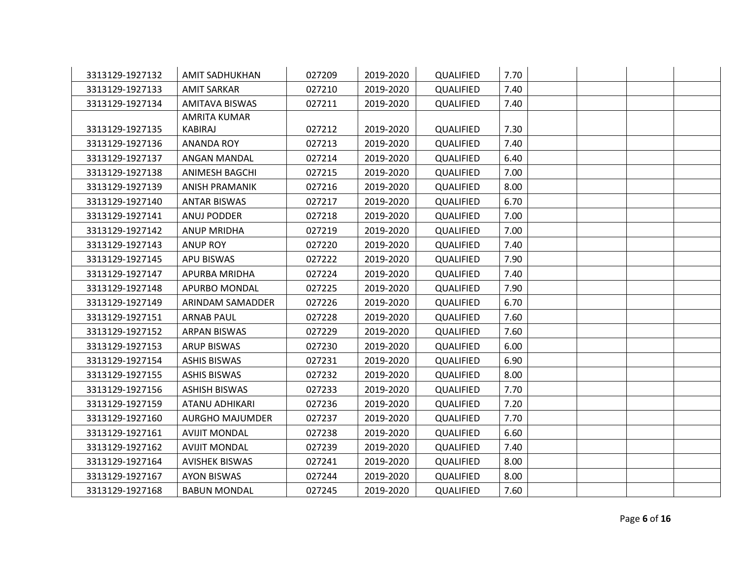| 3313129-1927132 | <b>AMIT SADHUKHAN</b>  | 027209 | 2019-2020 | QUALIFIED | 7.70 |  |  |
|-----------------|------------------------|--------|-----------|-----------|------|--|--|
| 3313129-1927133 | <b>AMIT SARKAR</b>     | 027210 | 2019-2020 | QUALIFIED | 7.40 |  |  |
| 3313129-1927134 | <b>AMITAVA BISWAS</b>  | 027211 | 2019-2020 | QUALIFIED | 7.40 |  |  |
|                 | AMRITA KUMAR           |        |           |           |      |  |  |
| 3313129-1927135 | KABIRAJ                | 027212 | 2019-2020 | QUALIFIED | 7.30 |  |  |
| 3313129-1927136 | <b>ANANDA ROY</b>      | 027213 | 2019-2020 | QUALIFIED | 7.40 |  |  |
| 3313129-1927137 | ANGAN MANDAL           | 027214 | 2019-2020 | QUALIFIED | 6.40 |  |  |
| 3313129-1927138 | <b>ANIMESH BAGCHI</b>  | 027215 | 2019-2020 | QUALIFIED | 7.00 |  |  |
| 3313129-1927139 | <b>ANISH PRAMANIK</b>  | 027216 | 2019-2020 | QUALIFIED | 8.00 |  |  |
| 3313129-1927140 | <b>ANTAR BISWAS</b>    | 027217 | 2019-2020 | QUALIFIED | 6.70 |  |  |
| 3313129-1927141 | ANUJ PODDER            | 027218 | 2019-2020 | QUALIFIED | 7.00 |  |  |
| 3313129-1927142 | <b>ANUP MRIDHA</b>     | 027219 | 2019-2020 | QUALIFIED | 7.00 |  |  |
| 3313129-1927143 | <b>ANUP ROY</b>        | 027220 | 2019-2020 | QUALIFIED | 7.40 |  |  |
| 3313129-1927145 | <b>APU BISWAS</b>      | 027222 | 2019-2020 | QUALIFIED | 7.90 |  |  |
| 3313129-1927147 | APURBA MRIDHA          | 027224 | 2019-2020 | QUALIFIED | 7.40 |  |  |
| 3313129-1927148 | APURBO MONDAL          | 027225 | 2019-2020 | QUALIFIED | 7.90 |  |  |
| 3313129-1927149 | ARINDAM SAMADDER       | 027226 | 2019-2020 | QUALIFIED | 6.70 |  |  |
| 3313129-1927151 | <b>ARNAB PAUL</b>      | 027228 | 2019-2020 | QUALIFIED | 7.60 |  |  |
| 3313129-1927152 | <b>ARPAN BISWAS</b>    | 027229 | 2019-2020 | QUALIFIED | 7.60 |  |  |
| 3313129-1927153 | <b>ARUP BISWAS</b>     | 027230 | 2019-2020 | QUALIFIED | 6.00 |  |  |
| 3313129-1927154 | <b>ASHIS BISWAS</b>    | 027231 | 2019-2020 | QUALIFIED | 6.90 |  |  |
| 3313129-1927155 | <b>ASHIS BISWAS</b>    | 027232 | 2019-2020 | QUALIFIED | 8.00 |  |  |
| 3313129-1927156 | <b>ASHISH BISWAS</b>   | 027233 | 2019-2020 | QUALIFIED | 7.70 |  |  |
| 3313129-1927159 | <b>ATANU ADHIKARI</b>  | 027236 | 2019-2020 | QUALIFIED | 7.20 |  |  |
| 3313129-1927160 | <b>AURGHO MAJUMDER</b> | 027237 | 2019-2020 | QUALIFIED | 7.70 |  |  |
| 3313129-1927161 | <b>AVIJIT MONDAL</b>   | 027238 | 2019-2020 | QUALIFIED | 6.60 |  |  |
| 3313129-1927162 | <b>AVIJIT MONDAL</b>   | 027239 | 2019-2020 | QUALIFIED | 7.40 |  |  |
| 3313129-1927164 | <b>AVISHEK BISWAS</b>  | 027241 | 2019-2020 | QUALIFIED | 8.00 |  |  |
| 3313129-1927167 | <b>AYON BISWAS</b>     | 027244 | 2019-2020 | QUALIFIED | 8.00 |  |  |
| 3313129-1927168 | <b>BABUN MONDAL</b>    | 027245 | 2019-2020 | QUALIFIED | 7.60 |  |  |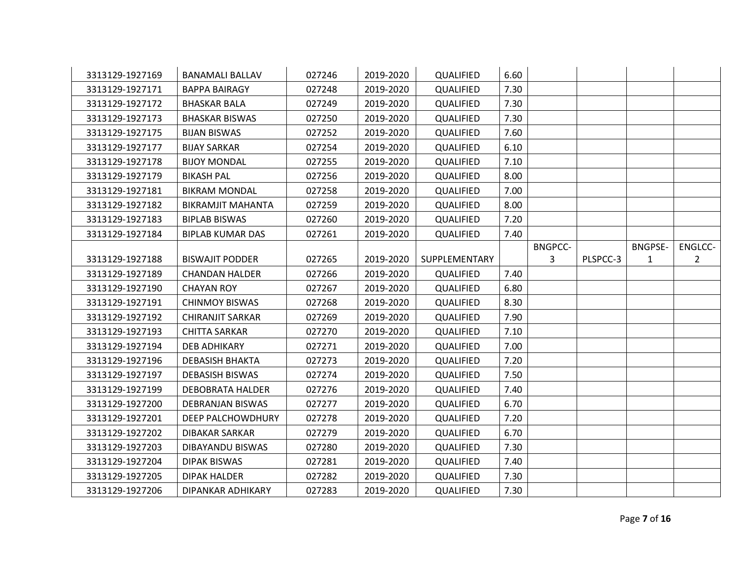| 3313129-1927169 | <b>BANAMALI BALLAV</b>   | 027246 | 2019-2020 | QUALIFIED     | 6.60 |                |          |                |                |
|-----------------|--------------------------|--------|-----------|---------------|------|----------------|----------|----------------|----------------|
| 3313129-1927171 | <b>BAPPA BAIRAGY</b>     | 027248 | 2019-2020 | QUALIFIED     | 7.30 |                |          |                |                |
| 3313129-1927172 | <b>BHASKAR BALA</b>      | 027249 | 2019-2020 | QUALIFIED     | 7.30 |                |          |                |                |
| 3313129-1927173 | <b>BHASKAR BISWAS</b>    | 027250 | 2019-2020 | QUALIFIED     | 7.30 |                |          |                |                |
| 3313129-1927175 | <b>BIJAN BISWAS</b>      | 027252 | 2019-2020 | QUALIFIED     | 7.60 |                |          |                |                |
| 3313129-1927177 | <b>BIJAY SARKAR</b>      | 027254 | 2019-2020 | QUALIFIED     | 6.10 |                |          |                |                |
| 3313129-1927178 | <b>BIJOY MONDAL</b>      | 027255 | 2019-2020 | QUALIFIED     | 7.10 |                |          |                |                |
| 3313129-1927179 | <b>BIKASH PAL</b>        | 027256 | 2019-2020 | QUALIFIED     | 8.00 |                |          |                |                |
| 3313129-1927181 | <b>BIKRAM MONDAL</b>     | 027258 | 2019-2020 | QUALIFIED     | 7.00 |                |          |                |                |
| 3313129-1927182 | <b>BIKRAMJIT MAHANTA</b> | 027259 | 2019-2020 | QUALIFIED     | 8.00 |                |          |                |                |
| 3313129-1927183 | <b>BIPLAB BISWAS</b>     | 027260 | 2019-2020 | QUALIFIED     | 7.20 |                |          |                |                |
| 3313129-1927184 | <b>BIPLAB KUMAR DAS</b>  | 027261 | 2019-2020 | QUALIFIED     | 7.40 |                |          |                |                |
|                 |                          |        |           |               |      | <b>BNGPCC-</b> |          | <b>BNGPSE-</b> | ENGLCC-        |
| 3313129-1927188 | <b>BISWAJIT PODDER</b>   | 027265 | 2019-2020 | SUPPLEMENTARY |      | 3              | PLSPCC-3 | 1              | $\overline{2}$ |
| 3313129-1927189 | <b>CHANDAN HALDER</b>    | 027266 | 2019-2020 | QUALIFIED     | 7.40 |                |          |                |                |
| 3313129-1927190 | <b>CHAYAN ROY</b>        | 027267 | 2019-2020 | QUALIFIED     | 6.80 |                |          |                |                |
| 3313129-1927191 | <b>CHINMOY BISWAS</b>    | 027268 | 2019-2020 | QUALIFIED     | 8.30 |                |          |                |                |
| 3313129-1927192 | <b>CHIRANJIT SARKAR</b>  | 027269 | 2019-2020 | QUALIFIED     | 7.90 |                |          |                |                |
| 3313129-1927193 | <b>CHITTA SARKAR</b>     | 027270 | 2019-2020 | QUALIFIED     | 7.10 |                |          |                |                |
| 3313129-1927194 | DEB ADHIKARY             | 027271 | 2019-2020 | QUALIFIED     | 7.00 |                |          |                |                |
| 3313129-1927196 | <b>DEBASISH BHAKTA</b>   | 027273 | 2019-2020 | QUALIFIED     | 7.20 |                |          |                |                |
| 3313129-1927197 | <b>DEBASISH BISWAS</b>   | 027274 | 2019-2020 | QUALIFIED     | 7.50 |                |          |                |                |
| 3313129-1927199 | <b>DEBOBRATA HALDER</b>  | 027276 | 2019-2020 | QUALIFIED     | 7.40 |                |          |                |                |
| 3313129-1927200 | <b>DEBRANJAN BISWAS</b>  | 027277 | 2019-2020 | QUALIFIED     | 6.70 |                |          |                |                |
| 3313129-1927201 | DEEP PALCHOWDHURY        | 027278 | 2019-2020 | QUALIFIED     | 7.20 |                |          |                |                |
| 3313129-1927202 | <b>DIBAKAR SARKAR</b>    | 027279 | 2019-2020 | QUALIFIED     | 6.70 |                |          |                |                |
| 3313129-1927203 | DIBAYANDU BISWAS         | 027280 | 2019-2020 | QUALIFIED     | 7.30 |                |          |                |                |
| 3313129-1927204 | <b>DIPAK BISWAS</b>      | 027281 | 2019-2020 | QUALIFIED     | 7.40 |                |          |                |                |
| 3313129-1927205 | <b>DIPAK HALDER</b>      | 027282 | 2019-2020 | QUALIFIED     | 7.30 |                |          |                |                |
| 3313129-1927206 | DIPANKAR ADHIKARY        | 027283 | 2019-2020 | QUALIFIED     | 7.30 |                |          |                |                |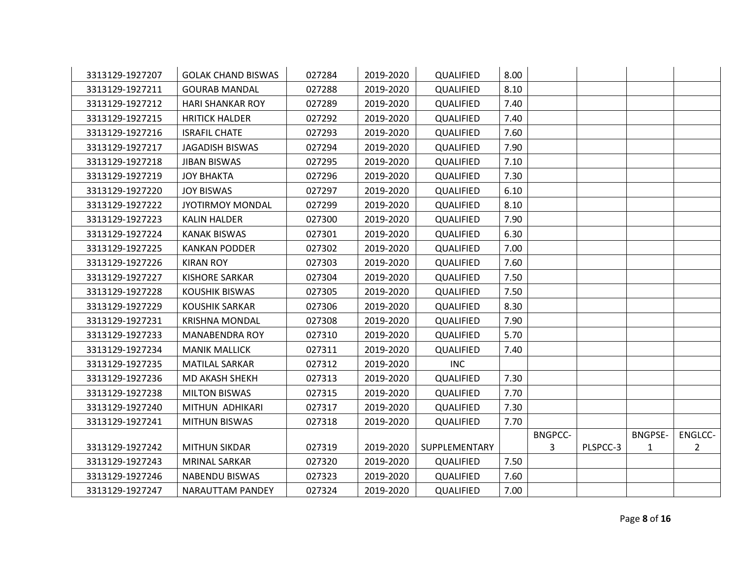| 3313129-1927207 | <b>GOLAK CHAND BISWAS</b> | 027284 | 2019-2020 | QUALIFIED     | 8.00 |                |          |                |                |
|-----------------|---------------------------|--------|-----------|---------------|------|----------------|----------|----------------|----------------|
| 3313129-1927211 | <b>GOURAB MANDAL</b>      | 027288 | 2019-2020 | QUALIFIED     | 8.10 |                |          |                |                |
| 3313129-1927212 | <b>HARI SHANKAR ROY</b>   | 027289 | 2019-2020 | QUALIFIED     | 7.40 |                |          |                |                |
| 3313129-1927215 | <b>HRITICK HALDER</b>     | 027292 | 2019-2020 | QUALIFIED     | 7.40 |                |          |                |                |
| 3313129-1927216 | <b>ISRAFIL CHATE</b>      | 027293 | 2019-2020 | QUALIFIED     | 7.60 |                |          |                |                |
| 3313129-1927217 | <b>JAGADISH BISWAS</b>    | 027294 | 2019-2020 | QUALIFIED     | 7.90 |                |          |                |                |
| 3313129-1927218 | <b>JIBAN BISWAS</b>       | 027295 | 2019-2020 | QUALIFIED     | 7.10 |                |          |                |                |
| 3313129-1927219 | <b>JOY BHAKTA</b>         | 027296 | 2019-2020 | QUALIFIED     | 7.30 |                |          |                |                |
| 3313129-1927220 | <b>JOY BISWAS</b>         | 027297 | 2019-2020 | QUALIFIED     | 6.10 |                |          |                |                |
| 3313129-1927222 | <b>JYOTIRMOY MONDAL</b>   | 027299 | 2019-2020 | QUALIFIED     | 8.10 |                |          |                |                |
| 3313129-1927223 | <b>KALIN HALDER</b>       | 027300 | 2019-2020 | QUALIFIED     | 7.90 |                |          |                |                |
| 3313129-1927224 | <b>KANAK BISWAS</b>       | 027301 | 2019-2020 | QUALIFIED     | 6.30 |                |          |                |                |
| 3313129-1927225 | <b>KANKAN PODDER</b>      | 027302 | 2019-2020 | QUALIFIED     | 7.00 |                |          |                |                |
| 3313129-1927226 | <b>KIRAN ROY</b>          | 027303 | 2019-2020 | QUALIFIED     | 7.60 |                |          |                |                |
| 3313129-1927227 | <b>KISHORE SARKAR</b>     | 027304 | 2019-2020 | QUALIFIED     | 7.50 |                |          |                |                |
| 3313129-1927228 | <b>KOUSHIK BISWAS</b>     | 027305 | 2019-2020 | QUALIFIED     | 7.50 |                |          |                |                |
| 3313129-1927229 | <b>KOUSHIK SARKAR</b>     | 027306 | 2019-2020 | QUALIFIED     | 8.30 |                |          |                |                |
| 3313129-1927231 | <b>KRISHNA MONDAL</b>     | 027308 | 2019-2020 | QUALIFIED     | 7.90 |                |          |                |                |
| 3313129-1927233 | <b>MANABENDRA ROY</b>     | 027310 | 2019-2020 | QUALIFIED     | 5.70 |                |          |                |                |
| 3313129-1927234 | <b>MANIK MALLICK</b>      | 027311 | 2019-2020 | QUALIFIED     | 7.40 |                |          |                |                |
| 3313129-1927235 | <b>MATILAL SARKAR</b>     | 027312 | 2019-2020 | <b>INC</b>    |      |                |          |                |                |
| 3313129-1927236 | MD AKASH SHEKH            | 027313 | 2019-2020 | QUALIFIED     | 7.30 |                |          |                |                |
| 3313129-1927238 | <b>MILTON BISWAS</b>      | 027315 | 2019-2020 | QUALIFIED     | 7.70 |                |          |                |                |
| 3313129-1927240 | MITHUN ADHIKARI           | 027317 | 2019-2020 | QUALIFIED     | 7.30 |                |          |                |                |
| 3313129-1927241 | <b>MITHUN BISWAS</b>      | 027318 | 2019-2020 | QUALIFIED     | 7.70 |                |          |                |                |
|                 |                           |        |           |               |      | <b>BNGPCC-</b> |          | <b>BNGPSE-</b> | ENGLCC-        |
| 3313129-1927242 | <b>MITHUN SIKDAR</b>      | 027319 | 2019-2020 | SUPPLEMENTARY |      | 3              | PLSPCC-3 | $\mathbf{1}$   | $\overline{2}$ |
| 3313129-1927243 | <b>MRINAL SARKAR</b>      | 027320 | 2019-2020 | QUALIFIED     | 7.50 |                |          |                |                |
| 3313129-1927246 | <b>NABENDU BISWAS</b>     | 027323 | 2019-2020 | QUALIFIED     | 7.60 |                |          |                |                |
| 3313129-1927247 | NARAUTTAM PANDEY          | 027324 | 2019-2020 | QUALIFIED     | 7.00 |                |          |                |                |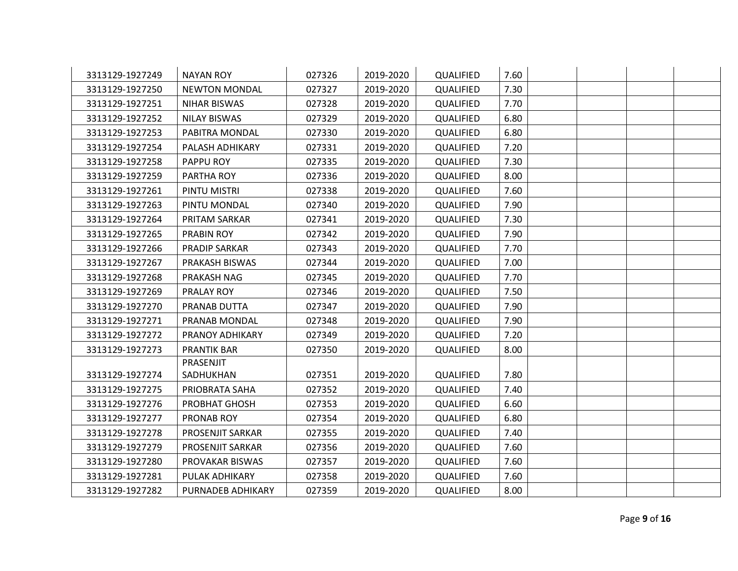| 3313129-1927249 | <b>NAYAN ROY</b>     | 027326 | 2019-2020 | QUALIFIED | 7.60 |  |  |
|-----------------|----------------------|--------|-----------|-----------|------|--|--|
| 3313129-1927250 | <b>NEWTON MONDAL</b> | 027327 | 2019-2020 | QUALIFIED | 7.30 |  |  |
| 3313129-1927251 | <b>NIHAR BISWAS</b>  | 027328 | 2019-2020 | QUALIFIED | 7.70 |  |  |
| 3313129-1927252 | NILAY BISWAS         | 027329 | 2019-2020 | QUALIFIED | 6.80 |  |  |
| 3313129-1927253 | PABITRA MONDAL       | 027330 | 2019-2020 | QUALIFIED | 6.80 |  |  |
| 3313129-1927254 | PALASH ADHIKARY      | 027331 | 2019-2020 | QUALIFIED | 7.20 |  |  |
| 3313129-1927258 | PAPPU ROY            | 027335 | 2019-2020 | QUALIFIED | 7.30 |  |  |
| 3313129-1927259 | PARTHA ROY           | 027336 | 2019-2020 | QUALIFIED | 8.00 |  |  |
| 3313129-1927261 | PINTU MISTRI         | 027338 | 2019-2020 | QUALIFIED | 7.60 |  |  |
| 3313129-1927263 | PINTU MONDAL         | 027340 | 2019-2020 | QUALIFIED | 7.90 |  |  |
| 3313129-1927264 | PRITAM SARKAR        | 027341 | 2019-2020 | QUALIFIED | 7.30 |  |  |
| 3313129-1927265 | <b>PRABIN ROY</b>    | 027342 | 2019-2020 | QUALIFIED | 7.90 |  |  |
| 3313129-1927266 | PRADIP SARKAR        | 027343 | 2019-2020 | QUALIFIED | 7.70 |  |  |
| 3313129-1927267 | PRAKASH BISWAS       | 027344 | 2019-2020 | QUALIFIED | 7.00 |  |  |
| 3313129-1927268 | PRAKASH NAG          | 027345 | 2019-2020 | QUALIFIED | 7.70 |  |  |
| 3313129-1927269 | PRALAY ROY           | 027346 | 2019-2020 | QUALIFIED | 7.50 |  |  |
| 3313129-1927270 | PRANAB DUTTA         | 027347 | 2019-2020 | QUALIFIED | 7.90 |  |  |
| 3313129-1927271 | PRANAB MONDAL        | 027348 | 2019-2020 | QUALIFIED | 7.90 |  |  |
| 3313129-1927272 | PRANOY ADHIKARY      | 027349 | 2019-2020 | QUALIFIED | 7.20 |  |  |
| 3313129-1927273 | <b>PRANTIK BAR</b>   | 027350 | 2019-2020 | QUALIFIED | 8.00 |  |  |
|                 | PRASENJIT            |        |           |           |      |  |  |
| 3313129-1927274 | SADHUKHAN            | 027351 | 2019-2020 | QUALIFIED | 7.80 |  |  |
| 3313129-1927275 | PRIOBRATA SAHA       | 027352 | 2019-2020 | QUALIFIED | 7.40 |  |  |
| 3313129-1927276 | PROBHAT GHOSH        | 027353 | 2019-2020 | QUALIFIED | 6.60 |  |  |
| 3313129-1927277 | PRONAB ROY           | 027354 | 2019-2020 | QUALIFIED | 6.80 |  |  |
| 3313129-1927278 | PROSENJIT SARKAR     | 027355 | 2019-2020 | QUALIFIED | 7.40 |  |  |
| 3313129-1927279 | PROSENJIT SARKAR     | 027356 | 2019-2020 | QUALIFIED | 7.60 |  |  |
| 3313129-1927280 | PROVAKAR BISWAS      | 027357 | 2019-2020 | QUALIFIED | 7.60 |  |  |
| 3313129-1927281 | PULAK ADHIKARY       | 027358 | 2019-2020 | QUALIFIED | 7.60 |  |  |
| 3313129-1927282 | PURNADEB ADHIKARY    | 027359 | 2019-2020 | QUALIFIED | 8.00 |  |  |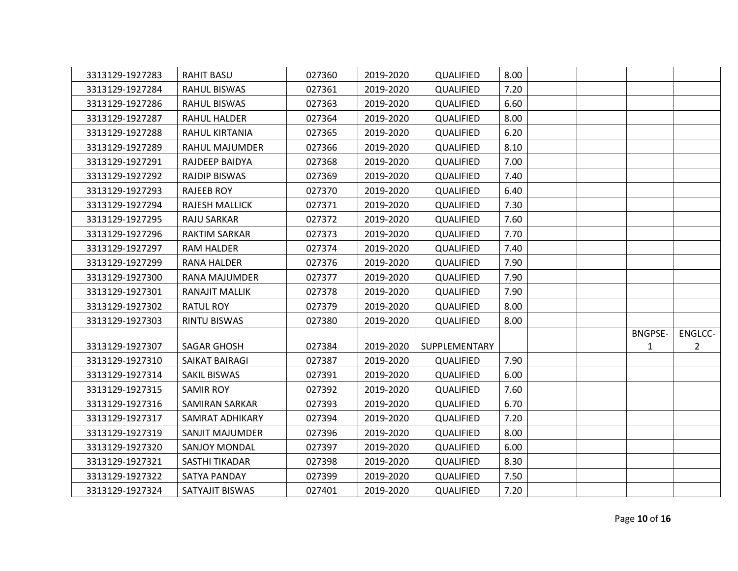| 3313129-1927283 | <b>RAHIT BASU</b>     | 027360 | 2019-2020 | QUALIFIED     | 8.00 |  |                |             |
|-----------------|-----------------------|--------|-----------|---------------|------|--|----------------|-------------|
| 3313129-1927284 | <b>RAHUL BISWAS</b>   | 027361 | 2019-2020 | QUALIFIED     | 7.20 |  |                |             |
| 3313129-1927286 | <b>RAHUL BISWAS</b>   | 027363 | 2019-2020 | QUALIFIED     | 6.60 |  |                |             |
| 3313129-1927287 | RAHUL HALDER          | 027364 | 2019-2020 | QUALIFIED     | 8.00 |  |                |             |
| 3313129-1927288 | RAHUL KIRTANIA        | 027365 | 2019-2020 | QUALIFIED     | 6.20 |  |                |             |
| 3313129-1927289 | RAHUL MAJUMDER        | 027366 | 2019-2020 | QUALIFIED     | 8.10 |  |                |             |
| 3313129-1927291 | RAJDEEP BAIDYA        | 027368 | 2019-2020 | QUALIFIED     | 7.00 |  |                |             |
| 3313129-1927292 | <b>RAJDIP BISWAS</b>  | 027369 | 2019-2020 | QUALIFIED     | 7.40 |  |                |             |
| 3313129-1927293 | <b>RAJEEB ROY</b>     | 027370 | 2019-2020 | QUALIFIED     | 6.40 |  |                |             |
| 3313129-1927294 | <b>RAJESH MALLICK</b> | 027371 | 2019-2020 | QUALIFIED     | 7.30 |  |                |             |
| 3313129-1927295 | <b>RAJU SARKAR</b>    | 027372 | 2019-2020 | QUALIFIED     | 7.60 |  |                |             |
| 3313129-1927296 | <b>RAKTIM SARKAR</b>  | 027373 | 2019-2020 | QUALIFIED     | 7.70 |  |                |             |
| 3313129-1927297 | RAM HALDER            | 027374 | 2019-2020 | QUALIFIED     | 7.40 |  |                |             |
| 3313129-1927299 | <b>RANA HALDER</b>    | 027376 | 2019-2020 | QUALIFIED     | 7.90 |  |                |             |
| 3313129-1927300 | <b>RANA MAJUMDER</b>  | 027377 | 2019-2020 | QUALIFIED     | 7.90 |  |                |             |
| 3313129-1927301 | RANAJIT MALLIK        | 027378 | 2019-2020 | QUALIFIED     | 7.90 |  |                |             |
| 3313129-1927302 | <b>RATUL ROY</b>      | 027379 | 2019-2020 | QUALIFIED     | 8.00 |  |                |             |
| 3313129-1927303 | <b>RINTU BISWAS</b>   | 027380 | 2019-2020 | QUALIFIED     | 8.00 |  |                |             |
|                 |                       |        |           |               |      |  | <b>BNGPSE-</b> | ENGLCC-     |
| 3313129-1927307 | <b>SAGAR GHOSH</b>    | 027384 | 2019-2020 | SUPPLEMENTARY |      |  | 1              | $2^{\circ}$ |
| 3313129-1927310 | SAIKAT BAIRAGI        | 027387 | 2019-2020 | QUALIFIED     | 7.90 |  |                |             |
| 3313129-1927314 | SAKIL BISWAS          | 027391 | 2019-2020 | QUALIFIED     | 6.00 |  |                |             |
| 3313129-1927315 | <b>SAMIR ROY</b>      | 027392 | 2019-2020 | QUALIFIED     | 7.60 |  |                |             |
| 3313129-1927316 | <b>SAMIRAN SARKAR</b> | 027393 | 2019-2020 | QUALIFIED     | 6.70 |  |                |             |
| 3313129-1927317 | SAMRAT ADHIKARY       | 027394 | 2019-2020 | QUALIFIED     | 7.20 |  |                |             |
| 3313129-1927319 | SANJIT MAJUMDER       | 027396 | 2019-2020 | QUALIFIED     | 8.00 |  |                |             |
| 3313129-1927320 | <b>SANJOY MONDAL</b>  | 027397 | 2019-2020 | QUALIFIED     | 6.00 |  |                |             |
| 3313129-1927321 | SASTHI TIKADAR        | 027398 | 2019-2020 | QUALIFIED     | 8.30 |  |                |             |
| 3313129-1927322 | SATYA PANDAY          | 027399 | 2019-2020 | QUALIFIED     | 7.50 |  |                |             |
| 3313129-1927324 | SATYAJIT BISWAS       | 027401 | 2019-2020 | QUALIFIED     | 7.20 |  |                |             |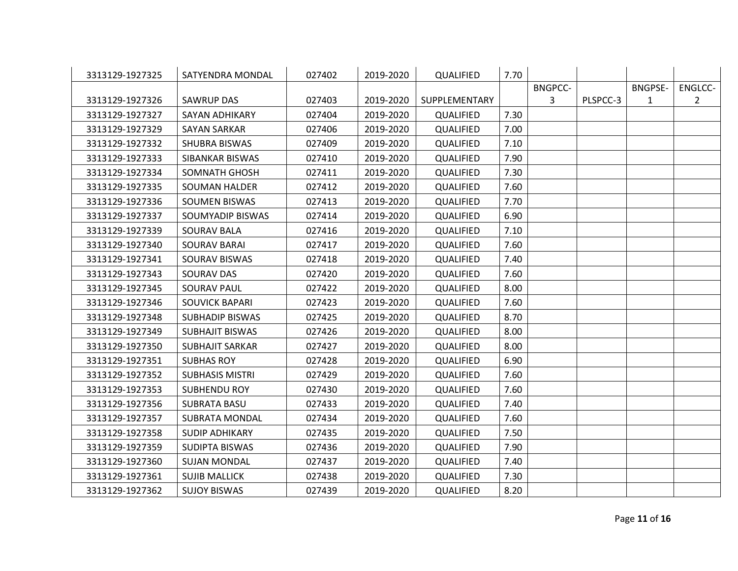| 3313129-1927325 | SATYENDRA MONDAL       | 027402 | 2019-2020 | QUALIFIED     | 7.70 |                |          |                |                |
|-----------------|------------------------|--------|-----------|---------------|------|----------------|----------|----------------|----------------|
|                 |                        |        |           |               |      | <b>BNGPCC-</b> |          | <b>BNGPSE-</b> | ENGLCC-        |
| 3313129-1927326 | <b>SAWRUP DAS</b>      | 027403 | 2019-2020 | SUPPLEMENTARY |      | 3              | PLSPCC-3 | $\mathbf{1}$   | $\overline{2}$ |
| 3313129-1927327 | <b>SAYAN ADHIKARY</b>  | 027404 | 2019-2020 | QUALIFIED     | 7.30 |                |          |                |                |
| 3313129-1927329 | <b>SAYAN SARKAR</b>    | 027406 | 2019-2020 | QUALIFIED     | 7.00 |                |          |                |                |
| 3313129-1927332 | SHUBRA BISWAS          | 027409 | 2019-2020 | QUALIFIED     | 7.10 |                |          |                |                |
| 3313129-1927333 | SIBANKAR BISWAS        | 027410 | 2019-2020 | QUALIFIED     | 7.90 |                |          |                |                |
| 3313129-1927334 | <b>SOMNATH GHOSH</b>   | 027411 | 2019-2020 | QUALIFIED     | 7.30 |                |          |                |                |
| 3313129-1927335 | <b>SOUMAN HALDER</b>   | 027412 | 2019-2020 | QUALIFIED     | 7.60 |                |          |                |                |
| 3313129-1927336 | <b>SOUMEN BISWAS</b>   | 027413 | 2019-2020 | QUALIFIED     | 7.70 |                |          |                |                |
| 3313129-1927337 | SOUMYADIP BISWAS       | 027414 | 2019-2020 | QUALIFIED     | 6.90 |                |          |                |                |
| 3313129-1927339 | <b>SOURAV BALA</b>     | 027416 | 2019-2020 | QUALIFIED     | 7.10 |                |          |                |                |
| 3313129-1927340 | <b>SOURAV BARAI</b>    | 027417 | 2019-2020 | QUALIFIED     | 7.60 |                |          |                |                |
| 3313129-1927341 | SOURAV BISWAS          | 027418 | 2019-2020 | QUALIFIED     | 7.40 |                |          |                |                |
| 3313129-1927343 | SOURAV DAS             | 027420 | 2019-2020 | QUALIFIED     | 7.60 |                |          |                |                |
| 3313129-1927345 | <b>SOURAV PAUL</b>     | 027422 | 2019-2020 | QUALIFIED     | 8.00 |                |          |                |                |
| 3313129-1927346 | <b>SOUVICK BAPARI</b>  | 027423 | 2019-2020 | QUALIFIED     | 7.60 |                |          |                |                |
| 3313129-1927348 | <b>SUBHADIP BISWAS</b> | 027425 | 2019-2020 | QUALIFIED     | 8.70 |                |          |                |                |
| 3313129-1927349 | <b>SUBHAJIT BISWAS</b> | 027426 | 2019-2020 | QUALIFIED     | 8.00 |                |          |                |                |
| 3313129-1927350 | <b>SUBHAJIT SARKAR</b> | 027427 | 2019-2020 | QUALIFIED     | 8.00 |                |          |                |                |
| 3313129-1927351 | <b>SUBHAS ROY</b>      | 027428 | 2019-2020 | QUALIFIED     | 6.90 |                |          |                |                |
| 3313129-1927352 | <b>SUBHASIS MISTRI</b> | 027429 | 2019-2020 | QUALIFIED     | 7.60 |                |          |                |                |
| 3313129-1927353 | <b>SUBHENDU ROY</b>    | 027430 | 2019-2020 | QUALIFIED     | 7.60 |                |          |                |                |
| 3313129-1927356 | <b>SUBRATA BASU</b>    | 027433 | 2019-2020 | QUALIFIED     | 7.40 |                |          |                |                |
| 3313129-1927357 | <b>SUBRATA MONDAL</b>  | 027434 | 2019-2020 | QUALIFIED     | 7.60 |                |          |                |                |
| 3313129-1927358 | <b>SUDIP ADHIKARY</b>  | 027435 | 2019-2020 | QUALIFIED     | 7.50 |                |          |                |                |
| 3313129-1927359 | SUDIPTA BISWAS         | 027436 | 2019-2020 | QUALIFIED     | 7.90 |                |          |                |                |
| 3313129-1927360 | <b>SUJAN MONDAL</b>    | 027437 | 2019-2020 | QUALIFIED     | 7.40 |                |          |                |                |
| 3313129-1927361 | <b>SUJIB MALLICK</b>   | 027438 | 2019-2020 | QUALIFIED     | 7.30 |                |          |                |                |
| 3313129-1927362 | <b>SUJOY BISWAS</b>    | 027439 | 2019-2020 | QUALIFIED     | 8.20 |                |          |                |                |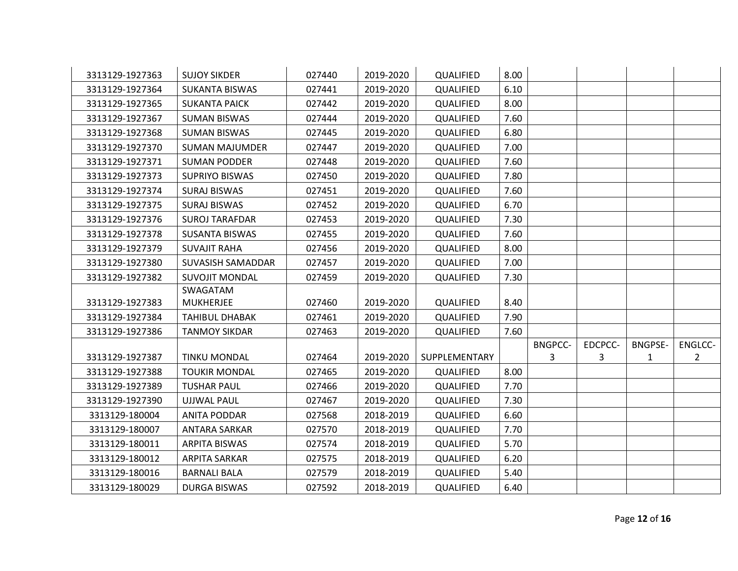| 3313129-1927363 | <b>SUJOY SIKDER</b>   | 027440 | 2019-2020 | QUALIFIED     | 8.00 |                |         |                |                |
|-----------------|-----------------------|--------|-----------|---------------|------|----------------|---------|----------------|----------------|
| 3313129-1927364 | <b>SUKANTA BISWAS</b> | 027441 | 2019-2020 | QUALIFIED     | 6.10 |                |         |                |                |
| 3313129-1927365 | <b>SUKANTA PAICK</b>  | 027442 | 2019-2020 | QUALIFIED     | 8.00 |                |         |                |                |
| 3313129-1927367 | <b>SUMAN BISWAS</b>   | 027444 | 2019-2020 | QUALIFIED     | 7.60 |                |         |                |                |
| 3313129-1927368 | <b>SUMAN BISWAS</b>   | 027445 | 2019-2020 | QUALIFIED     | 6.80 |                |         |                |                |
| 3313129-1927370 | <b>SUMAN MAJUMDER</b> | 027447 | 2019-2020 | QUALIFIED     | 7.00 |                |         |                |                |
| 3313129-1927371 | <b>SUMAN PODDER</b>   | 027448 | 2019-2020 | QUALIFIED     | 7.60 |                |         |                |                |
| 3313129-1927373 | <b>SUPRIYO BISWAS</b> | 027450 | 2019-2020 | QUALIFIED     | 7.80 |                |         |                |                |
| 3313129-1927374 | <b>SURAJ BISWAS</b>   | 027451 | 2019-2020 | QUALIFIED     | 7.60 |                |         |                |                |
| 3313129-1927375 | <b>SURAJ BISWAS</b>   | 027452 | 2019-2020 | QUALIFIED     | 6.70 |                |         |                |                |
| 3313129-1927376 | <b>SUROJ TARAFDAR</b> | 027453 | 2019-2020 | QUALIFIED     | 7.30 |                |         |                |                |
| 3313129-1927378 | <b>SUSANTA BISWAS</b> | 027455 | 2019-2020 | QUALIFIED     | 7.60 |                |         |                |                |
| 3313129-1927379 | <b>SUVAJIT RAHA</b>   | 027456 | 2019-2020 | QUALIFIED     | 8.00 |                |         |                |                |
| 3313129-1927380 | SUVASISH SAMADDAR     | 027457 | 2019-2020 | QUALIFIED     | 7.00 |                |         |                |                |
| 3313129-1927382 | <b>SUVOJIT MONDAL</b> | 027459 | 2019-2020 | QUALIFIED     | 7.30 |                |         |                |                |
|                 | SWAGATAM              |        |           |               |      |                |         |                |                |
| 3313129-1927383 | <b>MUKHERJEE</b>      | 027460 | 2019-2020 | QUALIFIED     | 8.40 |                |         |                |                |
| 3313129-1927384 | TAHIBUL DHABAK        | 027461 | 2019-2020 | QUALIFIED     | 7.90 |                |         |                |                |
| 3313129-1927386 | <b>TANMOY SIKDAR</b>  | 027463 | 2019-2020 | QUALIFIED     | 7.60 |                |         |                |                |
|                 |                       |        |           |               |      | <b>BNGPCC-</b> | EDCPCC- | <b>BNGPSE-</b> | ENGLCC-        |
| 3313129-1927387 | <b>TINKU MONDAL</b>   | 027464 | 2019-2020 | SUPPLEMENTARY |      | 3              | 3       | $\mathbf{1}$   | $\overline{2}$ |
| 3313129-1927388 | <b>TOUKIR MONDAL</b>  | 027465 | 2019-2020 | QUALIFIED     | 8.00 |                |         |                |                |
| 3313129-1927389 | <b>TUSHAR PAUL</b>    | 027466 | 2019-2020 | QUALIFIED     | 7.70 |                |         |                |                |
| 3313129-1927390 | <b>UJJWAL PAUL</b>    | 027467 | 2019-2020 | QUALIFIED     | 7.30 |                |         |                |                |
| 3313129-180004  | <b>ANITA PODDAR</b>   | 027568 | 2018-2019 | QUALIFIED     | 6.60 |                |         |                |                |
| 3313129-180007  | <b>ANTARA SARKAR</b>  | 027570 | 2018-2019 | QUALIFIED     | 7.70 |                |         |                |                |
| 3313129-180011  | <b>ARPITA BISWAS</b>  | 027574 | 2018-2019 | QUALIFIED     | 5.70 |                |         |                |                |
| 3313129-180012  | ARPITA SARKAR         | 027575 | 2018-2019 | QUALIFIED     | 6.20 |                |         |                |                |
| 3313129-180016  | <b>BARNALI BALA</b>   | 027579 | 2018-2019 | QUALIFIED     | 5.40 |                |         |                |                |
| 3313129-180029  | <b>DURGA BISWAS</b>   | 027592 | 2018-2019 | QUALIFIED     | 6.40 |                |         |                |                |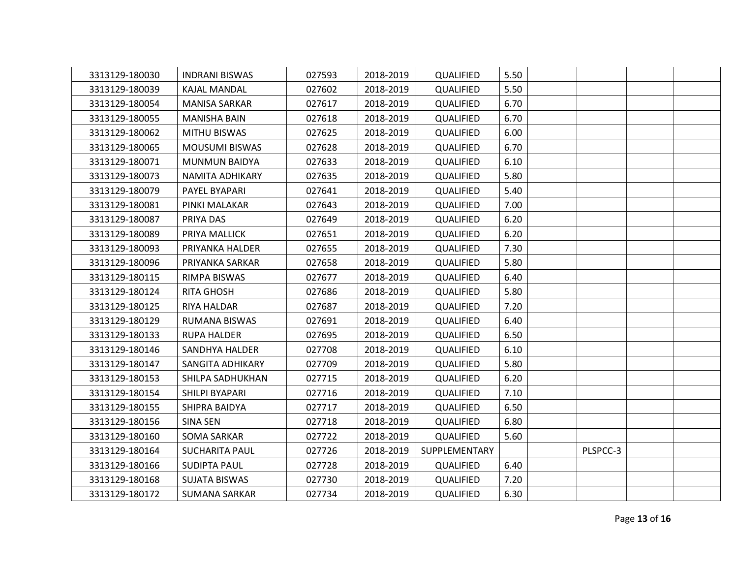| 3313129-180030 | <b>INDRANI BISWAS</b> | 027593 | 2018-2019 | QUALIFIED     | 5.50 |          |  |
|----------------|-----------------------|--------|-----------|---------------|------|----------|--|
| 3313129-180039 | KAJAL MANDAL          | 027602 | 2018-2019 | QUALIFIED     | 5.50 |          |  |
| 3313129-180054 | <b>MANISA SARKAR</b>  | 027617 | 2018-2019 | QUALIFIED     | 6.70 |          |  |
| 3313129-180055 | <b>MANISHA BAIN</b>   | 027618 | 2018-2019 | QUALIFIED     | 6.70 |          |  |
| 3313129-180062 | MITHU BISWAS          | 027625 | 2018-2019 | QUALIFIED     | 6.00 |          |  |
| 3313129-180065 | <b>MOUSUMI BISWAS</b> | 027628 | 2018-2019 | QUALIFIED     | 6.70 |          |  |
| 3313129-180071 | <b>MUNMUN BAIDYA</b>  | 027633 | 2018-2019 | QUALIFIED     | 6.10 |          |  |
| 3313129-180073 | NAMITA ADHIKARY       | 027635 | 2018-2019 | QUALIFIED     | 5.80 |          |  |
| 3313129-180079 | PAYEL BYAPARI         | 027641 | 2018-2019 | QUALIFIED     | 5.40 |          |  |
| 3313129-180081 | PINKI MALAKAR         | 027643 | 2018-2019 | QUALIFIED     | 7.00 |          |  |
| 3313129-180087 | PRIYA DAS             | 027649 | 2018-2019 | QUALIFIED     | 6.20 |          |  |
| 3313129-180089 | PRIYA MALLICK         | 027651 | 2018-2019 | QUALIFIED     | 6.20 |          |  |
| 3313129-180093 | PRIYANKA HALDER       | 027655 | 2018-2019 | QUALIFIED     | 7.30 |          |  |
| 3313129-180096 | PRIYANKA SARKAR       | 027658 | 2018-2019 | QUALIFIED     | 5.80 |          |  |
| 3313129-180115 | RIMPA BISWAS          | 027677 | 2018-2019 | QUALIFIED     | 6.40 |          |  |
| 3313129-180124 | RITA GHOSH            | 027686 | 2018-2019 | QUALIFIED     | 5.80 |          |  |
| 3313129-180125 | RIYA HALDAR           | 027687 | 2018-2019 | QUALIFIED     | 7.20 |          |  |
| 3313129-180129 | <b>RUMANA BISWAS</b>  | 027691 | 2018-2019 | QUALIFIED     | 6.40 |          |  |
| 3313129-180133 | <b>RUPA HALDER</b>    | 027695 | 2018-2019 | QUALIFIED     | 6.50 |          |  |
| 3313129-180146 | SANDHYA HALDER        | 027708 | 2018-2019 | QUALIFIED     | 6.10 |          |  |
| 3313129-180147 | SANGITA ADHIKARY      | 027709 | 2018-2019 | QUALIFIED     | 5.80 |          |  |
| 3313129-180153 | SHILPA SADHUKHAN      | 027715 | 2018-2019 | QUALIFIED     | 6.20 |          |  |
| 3313129-180154 | SHILPI BYAPARI        | 027716 | 2018-2019 | QUALIFIED     | 7.10 |          |  |
| 3313129-180155 | SHIPRA BAIDYA         | 027717 | 2018-2019 | QUALIFIED     | 6.50 |          |  |
| 3313129-180156 | SINA SEN              | 027718 | 2018-2019 | QUALIFIED     | 6.80 |          |  |
| 3313129-180160 | <b>SOMA SARKAR</b>    | 027722 | 2018-2019 | QUALIFIED     | 5.60 |          |  |
| 3313129-180164 | <b>SUCHARITA PAUL</b> | 027726 | 2018-2019 | SUPPLEMENTARY |      | PLSPCC-3 |  |
| 3313129-180166 | <b>SUDIPTA PAUL</b>   | 027728 | 2018-2019 | QUALIFIED     | 6.40 |          |  |
| 3313129-180168 | <b>SUJATA BISWAS</b>  | 027730 | 2018-2019 | QUALIFIED     | 7.20 |          |  |
| 3313129-180172 | <b>SUMANA SARKAR</b>  | 027734 | 2018-2019 | QUALIFIED     | 6.30 |          |  |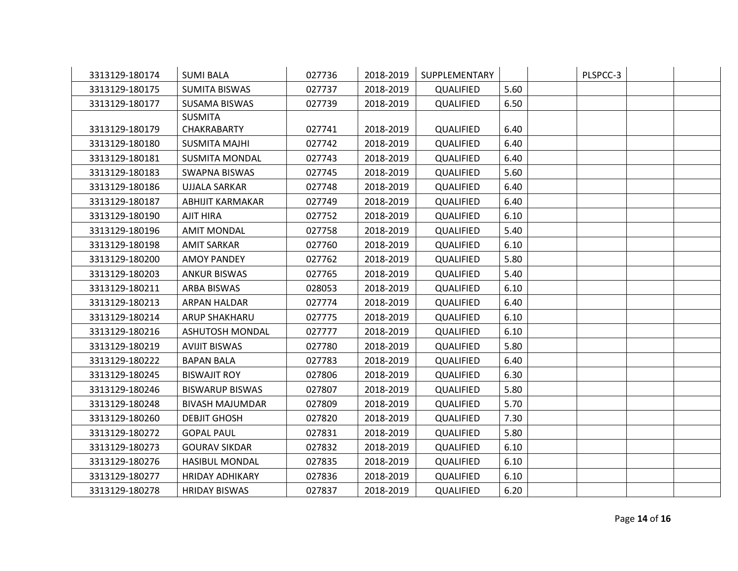| 3313129-180174 | <b>SUMI BALA</b>       | 027736 | 2018-2019 | SUPPLEMENTARY |      | PLSPCC-3 |  |
|----------------|------------------------|--------|-----------|---------------|------|----------|--|
| 3313129-180175 | <b>SUMITA BISWAS</b>   | 027737 | 2018-2019 | QUALIFIED     | 5.60 |          |  |
| 3313129-180177 | <b>SUSAMA BISWAS</b>   | 027739 | 2018-2019 | QUALIFIED     | 6.50 |          |  |
|                | <b>SUSMITA</b>         |        |           |               |      |          |  |
| 3313129-180179 | CHAKRABARTY            | 027741 | 2018-2019 | QUALIFIED     | 6.40 |          |  |
| 3313129-180180 | <b>SUSMITA MAJHI</b>   | 027742 | 2018-2019 | QUALIFIED     | 6.40 |          |  |
| 3313129-180181 | <b>SUSMITA MONDAL</b>  | 027743 | 2018-2019 | QUALIFIED     | 6.40 |          |  |
| 3313129-180183 | <b>SWAPNA BISWAS</b>   | 027745 | 2018-2019 | QUALIFIED     | 5.60 |          |  |
| 3313129-180186 | <b>UJJALA SARKAR</b>   | 027748 | 2018-2019 | QUALIFIED     | 6.40 |          |  |
| 3313129-180187 | ABHIJIT KARMAKAR       | 027749 | 2018-2019 | QUALIFIED     | 6.40 |          |  |
| 3313129-180190 | <b>AJIT HIRA</b>       | 027752 | 2018-2019 | QUALIFIED     | 6.10 |          |  |
| 3313129-180196 | <b>AMIT MONDAL</b>     | 027758 | 2018-2019 | QUALIFIED     | 5.40 |          |  |
| 3313129-180198 | <b>AMIT SARKAR</b>     | 027760 | 2018-2019 | QUALIFIED     | 6.10 |          |  |
| 3313129-180200 | <b>AMOY PANDEY</b>     | 027762 | 2018-2019 | QUALIFIED     | 5.80 |          |  |
| 3313129-180203 | <b>ANKUR BISWAS</b>    | 027765 | 2018-2019 | QUALIFIED     | 5.40 |          |  |
| 3313129-180211 | ARBA BISWAS            | 028053 | 2018-2019 | QUALIFIED     | 6.10 |          |  |
| 3313129-180213 | ARPAN HALDAR           | 027774 | 2018-2019 | QUALIFIED     | 6.40 |          |  |
| 3313129-180214 | ARUP SHAKHARU          | 027775 | 2018-2019 | QUALIFIED     | 6.10 |          |  |
| 3313129-180216 | <b>ASHUTOSH MONDAL</b> | 027777 | 2018-2019 | QUALIFIED     | 6.10 |          |  |
| 3313129-180219 | <b>AVIJIT BISWAS</b>   | 027780 | 2018-2019 | QUALIFIED     | 5.80 |          |  |
| 3313129-180222 | <b>BAPAN BALA</b>      | 027783 | 2018-2019 | QUALIFIED     | 6.40 |          |  |
| 3313129-180245 | <b>BISWAJIT ROY</b>    | 027806 | 2018-2019 | QUALIFIED     | 6.30 |          |  |
| 3313129-180246 | <b>BISWARUP BISWAS</b> | 027807 | 2018-2019 | QUALIFIED     | 5.80 |          |  |
| 3313129-180248 | <b>BIVASH MAJUMDAR</b> | 027809 | 2018-2019 | QUALIFIED     | 5.70 |          |  |
| 3313129-180260 | <b>DEBJIT GHOSH</b>    | 027820 | 2018-2019 | QUALIFIED     | 7.30 |          |  |
| 3313129-180272 | <b>GOPAL PAUL</b>      | 027831 | 2018-2019 | QUALIFIED     | 5.80 |          |  |
| 3313129-180273 | <b>GOURAV SIKDAR</b>   | 027832 | 2018-2019 | QUALIFIED     | 6.10 |          |  |
| 3313129-180276 | <b>HASIBUL MONDAL</b>  | 027835 | 2018-2019 | QUALIFIED     | 6.10 |          |  |
| 3313129-180277 | <b>HRIDAY ADHIKARY</b> | 027836 | 2018-2019 | QUALIFIED     | 6.10 |          |  |
| 3313129-180278 | <b>HRIDAY BISWAS</b>   | 027837 | 2018-2019 | QUALIFIED     | 6.20 |          |  |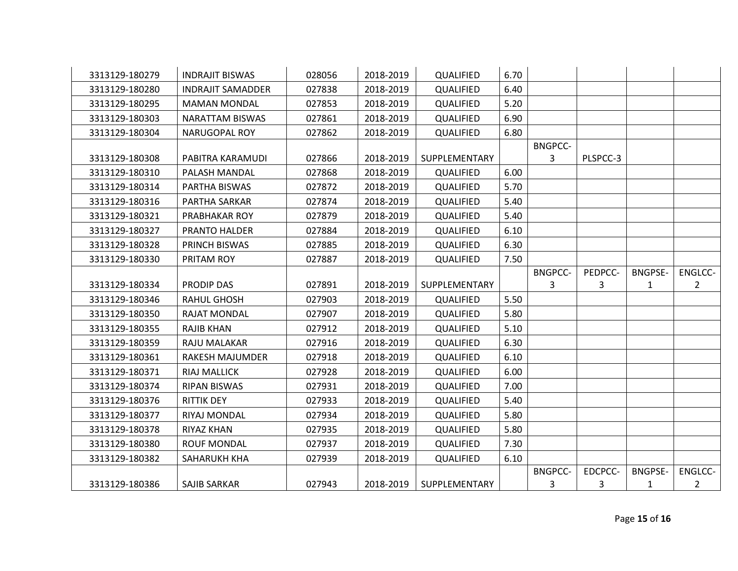| 3313129-180279 | <b>INDRAJIT BISWAS</b>   | 028056 | 2018-2019 | QUALIFIED     | 6.70 |                |          |                |                |
|----------------|--------------------------|--------|-----------|---------------|------|----------------|----------|----------------|----------------|
| 3313129-180280 | <b>INDRAJIT SAMADDER</b> | 027838 | 2018-2019 | QUALIFIED     | 6.40 |                |          |                |                |
| 3313129-180295 | <b>MAMAN MONDAL</b>      | 027853 | 2018-2019 | QUALIFIED     | 5.20 |                |          |                |                |
| 3313129-180303 | <b>NARATTAM BISWAS</b>   | 027861 | 2018-2019 | QUALIFIED     | 6.90 |                |          |                |                |
| 3313129-180304 | NARUGOPAL ROY            | 027862 | 2018-2019 | QUALIFIED     | 6.80 |                |          |                |                |
|                |                          |        |           |               |      | <b>BNGPCC-</b> |          |                |                |
| 3313129-180308 | PABITRA KARAMUDI         | 027866 | 2018-2019 | SUPPLEMENTARY |      | 3              | PLSPCC-3 |                |                |
| 3313129-180310 | PALASH MANDAL            | 027868 | 2018-2019 | QUALIFIED     | 6.00 |                |          |                |                |
| 3313129-180314 | PARTHA BISWAS            | 027872 | 2018-2019 | QUALIFIED     | 5.70 |                |          |                |                |
| 3313129-180316 | PARTHA SARKAR            | 027874 | 2018-2019 | QUALIFIED     | 5.40 |                |          |                |                |
| 3313129-180321 | PRABHAKAR ROY            | 027879 | 2018-2019 | QUALIFIED     | 5.40 |                |          |                |                |
| 3313129-180327 | <b>PRANTO HALDER</b>     | 027884 | 2018-2019 | QUALIFIED     | 6.10 |                |          |                |                |
| 3313129-180328 | PRINCH BISWAS            | 027885 | 2018-2019 | QUALIFIED     | 6.30 |                |          |                |                |
| 3313129-180330 | PRITAM ROY               | 027887 | 2018-2019 | QUALIFIED     | 7.50 |                |          |                |                |
|                |                          |        |           |               |      | <b>BNGPCC-</b> | PEDPCC-  | <b>BNGPSE-</b> | <b>ENGLCC-</b> |
|                |                          |        |           |               |      |                |          |                |                |
| 3313129-180334 | <b>PRODIP DAS</b>        | 027891 | 2018-2019 | SUPPLEMENTARY |      | 3              | 3        | 1              | $\overline{2}$ |
| 3313129-180346 | <b>RAHUL GHOSH</b>       | 027903 | 2018-2019 | QUALIFIED     | 5.50 |                |          |                |                |
| 3313129-180350 | <b>RAJAT MONDAL</b>      | 027907 | 2018-2019 | QUALIFIED     | 5.80 |                |          |                |                |
| 3313129-180355 | <b>RAJIB KHAN</b>        | 027912 | 2018-2019 | QUALIFIED     | 5.10 |                |          |                |                |
| 3313129-180359 | RAJU MALAKAR             | 027916 | 2018-2019 | QUALIFIED     | 6.30 |                |          |                |                |
| 3313129-180361 | RAKESH MAJUMDER          | 027918 | 2018-2019 | QUALIFIED     | 6.10 |                |          |                |                |
| 3313129-180371 | <b>RIAJ MALLICK</b>      | 027928 | 2018-2019 | QUALIFIED     | 6.00 |                |          |                |                |
| 3313129-180374 | <b>RIPAN BISWAS</b>      | 027931 | 2018-2019 | QUALIFIED     | 7.00 |                |          |                |                |
| 3313129-180376 | <b>RITTIK DEY</b>        | 027933 | 2018-2019 | QUALIFIED     | 5.40 |                |          |                |                |
| 3313129-180377 | RIYAJ MONDAL             | 027934 | 2018-2019 | QUALIFIED     | 5.80 |                |          |                |                |
| 3313129-180378 | RIYAZ KHAN               | 027935 | 2018-2019 | QUALIFIED     | 5.80 |                |          |                |                |
| 3313129-180380 | <b>ROUF MONDAL</b>       | 027937 | 2018-2019 | QUALIFIED     | 7.30 |                |          |                |                |
| 3313129-180382 | SAHARUKH KHA             | 027939 | 2018-2019 | QUALIFIED     | 6.10 |                |          |                |                |
|                |                          |        |           |               |      | <b>BNGPCC-</b> | EDCPCC-  | <b>BNGPSE-</b> | ENGLCC-        |